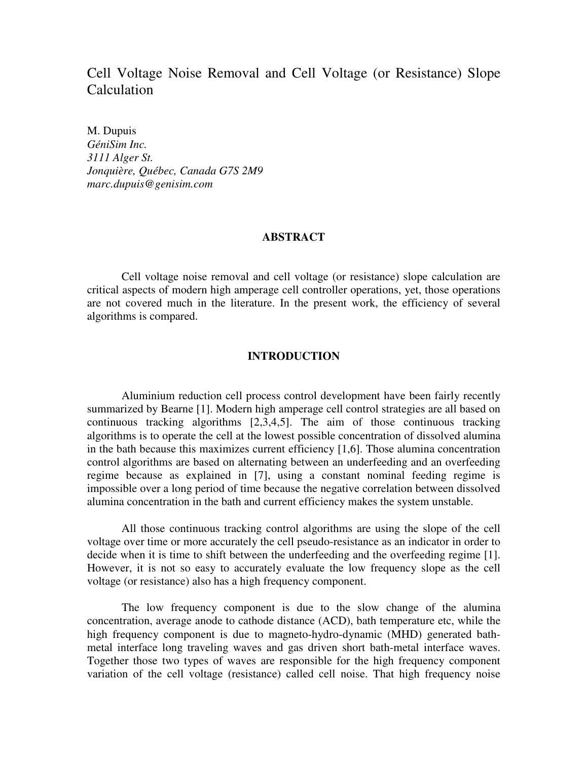# Cell Voltage Noise Removal and Cell Voltage (or Resistance) Slope Calculation

M. Dupuis *GéniSim Inc. 3111 Alger St. Jonquière, Québec, Canada G7S 2M9 marc.dupuis@genisim.com* 

## **ABSTRACT**

Cell voltage noise removal and cell voltage (or resistance) slope calculation are critical aspects of modern high amperage cell controller operations, yet, those operations are not covered much in the literature. In the present work, the efficiency of several algorithms is compared.

## **INTRODUCTION**

Aluminium reduction cell process control development have been fairly recently summarized by Bearne [1]. Modern high amperage cell control strategies are all based on continuous tracking algorithms [2,3,4,5]. The aim of those continuous tracking algorithms is to operate the cell at the lowest possible concentration of dissolved alumina in the bath because this maximizes current efficiency [1,6]. Those alumina concentration control algorithms are based on alternating between an underfeeding and an overfeeding regime because as explained in [7], using a constant nominal feeding regime is impossible over a long period of time because the negative correlation between dissolved alumina concentration in the bath and current efficiency makes the system unstable.

All those continuous tracking control algorithms are using the slope of the cell voltage over time or more accurately the cell pseudo-resistance as an indicator in order to decide when it is time to shift between the underfeeding and the overfeeding regime [1]. However, it is not so easy to accurately evaluate the low frequency slope as the cell voltage (or resistance) also has a high frequency component.

The low frequency component is due to the slow change of the alumina concentration, average anode to cathode distance (ACD), bath temperature etc, while the high frequency component is due to magneto-hydro-dynamic (MHD) generated bathmetal interface long traveling waves and gas driven short bath-metal interface waves. Together those two types of waves are responsible for the high frequency component variation of the cell voltage (resistance) called cell noise. That high frequency noise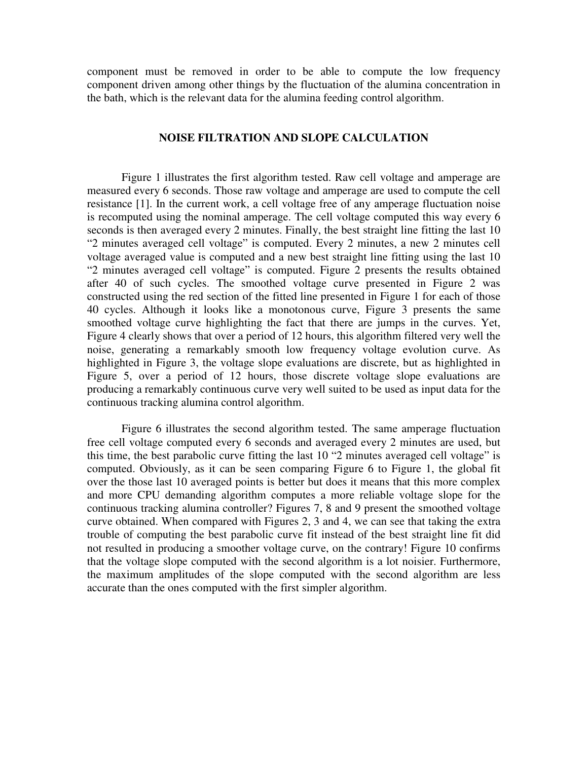component must be removed in order to be able to compute the low frequency component driven among other things by the fluctuation of the alumina concentration in the bath, which is the relevant data for the alumina feeding control algorithm.

## **NOISE FILTRATION AND SLOPE CALCULATION**

Figure 1 illustrates the first algorithm tested. Raw cell voltage and amperage are measured every 6 seconds. Those raw voltage and amperage are used to compute the cell resistance [1]. In the current work, a cell voltage free of any amperage fluctuation noise is recomputed using the nominal amperage. The cell voltage computed this way every 6 seconds is then averaged every 2 minutes. Finally, the best straight line fitting the last 10 "2 minutes averaged cell voltage" is computed. Every 2 minutes, a new 2 minutes cell voltage averaged value is computed and a new best straight line fitting using the last 10 "2 minutes averaged cell voltage" is computed. Figure 2 presents the results obtained after 40 of such cycles. The smoothed voltage curve presented in Figure 2 was constructed using the red section of the fitted line presented in Figure 1 for each of those 40 cycles. Although it looks like a monotonous curve, Figure 3 presents the same smoothed voltage curve highlighting the fact that there are jumps in the curves. Yet, Figure 4 clearly shows that over a period of 12 hours, this algorithm filtered very well the noise, generating a remarkably smooth low frequency voltage evolution curve. As highlighted in Figure 3, the voltage slope evaluations are discrete, but as highlighted in Figure 5, over a period of 12 hours, those discrete voltage slope evaluations are producing a remarkably continuous curve very well suited to be used as input data for the continuous tracking alumina control algorithm.

Figure 6 illustrates the second algorithm tested. The same amperage fluctuation free cell voltage computed every 6 seconds and averaged every 2 minutes are used, but this time, the best parabolic curve fitting the last 10 "2 minutes averaged cell voltage" is computed. Obviously, as it can be seen comparing Figure 6 to Figure 1, the global fit over the those last 10 averaged points is better but does it means that this more complex and more CPU demanding algorithm computes a more reliable voltage slope for the continuous tracking alumina controller? Figures 7, 8 and 9 present the smoothed voltage curve obtained. When compared with Figures 2, 3 and 4, we can see that taking the extra trouble of computing the best parabolic curve fit instead of the best straight line fit did not resulted in producing a smoother voltage curve, on the contrary! Figure 10 confirms that the voltage slope computed with the second algorithm is a lot noisier. Furthermore, the maximum amplitudes of the slope computed with the second algorithm are less accurate than the ones computed with the first simpler algorithm.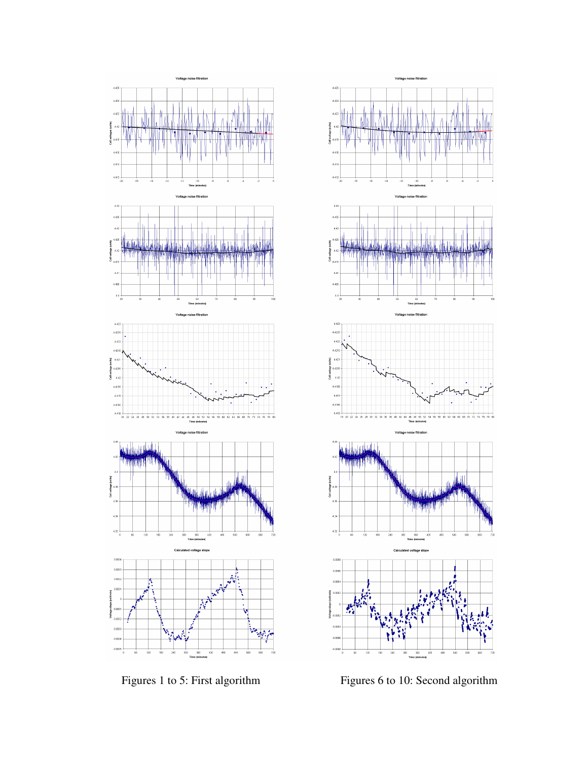



Figures 1 to 5: First algorithm Figures 6 to 10: Second algorithm